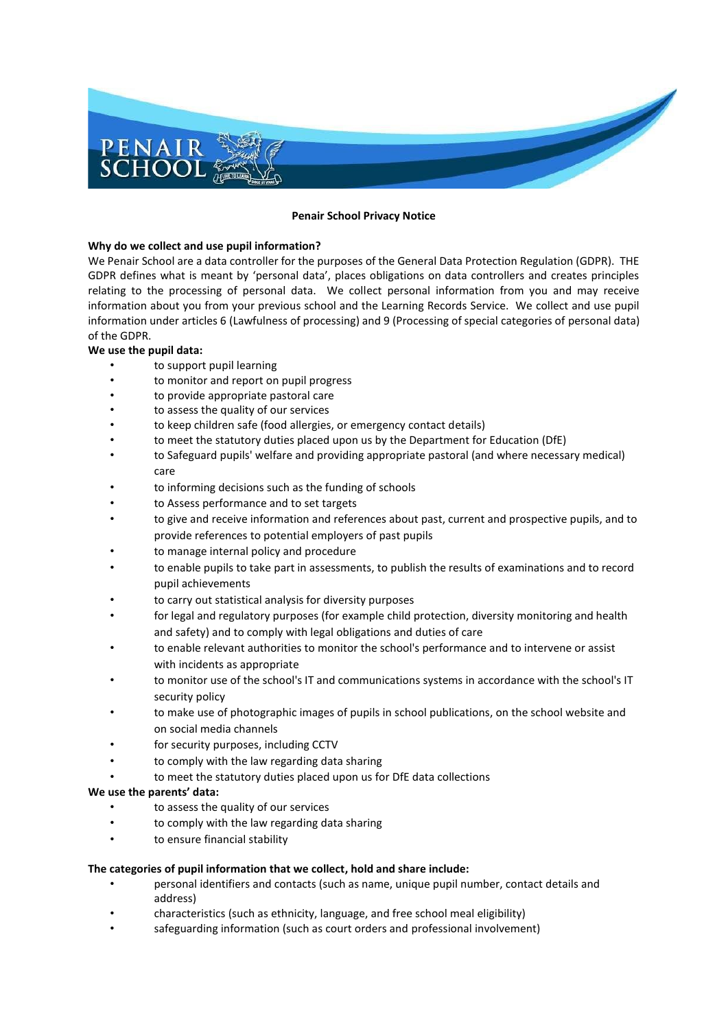

#### **Penair School Privacy Notice**

# **Why do we collect and use pupil information?**

We Penair School are a data controller for the purposes of the General Data Protection Regulation (GDPR). THE GDPR defines what is meant by 'personal data', places obligations on data controllers and creates principles relating to the processing of personal data. We collect personal information from you and may receive information about you from your previous school and the Learning Records Service. We collect and use pupil information under articles 6 (Lawfulness of processing) and 9 (Processing of special categories of personal data) of the GDPR.

# **We use the pupil data:**

- to support pupil learning
- to monitor and report on pupil progress
- to provide appropriate pastoral care
- to assess the quality of our services
- to keep children safe (food allergies, or emergency contact details)
- to meet the statutory duties placed upon us by the Department for Education (DfE)
- to Safeguard pupils' welfare and providing appropriate pastoral (and where necessary medical) care
- to informing decisions such as the funding of schools
- to Assess performance and to set targets
- to give and receive information and references about past, current and prospective pupils, and to provide references to potential employers of past pupils
- to manage internal policy and procedure
- to enable pupils to take part in assessments, to publish the results of examinations and to record pupil achievements
- to carry out statistical analysis for diversity purposes
- for legal and regulatory purposes (for example child protection, diversity monitoring and health and safety) and to comply with legal obligations and duties of care
- to enable relevant authorities to monitor the school's performance and to intervene or assist with incidents as appropriate
- to monitor use of the school's IT and communications systems in accordance with the school's IT security policy
- to make use of photographic images of pupils in school publications, on the school website and on social media channels
- for security purposes, including CCTV
- to comply with the law regarding data sharing
- to meet the statutory duties placed upon us for DfE data collections

# **We use the parents' data:**

- to assess the quality of our services
- to comply with the law regarding data sharing
- to ensure financial stability

# **The categories of pupil information that we collect, hold and share include:**

- personal identifiers and contacts (such as name, unique pupil number, contact details and address)
- characteristics (such as ethnicity, language, and free school meal eligibility)
- safeguarding information (such as court orders and professional involvement)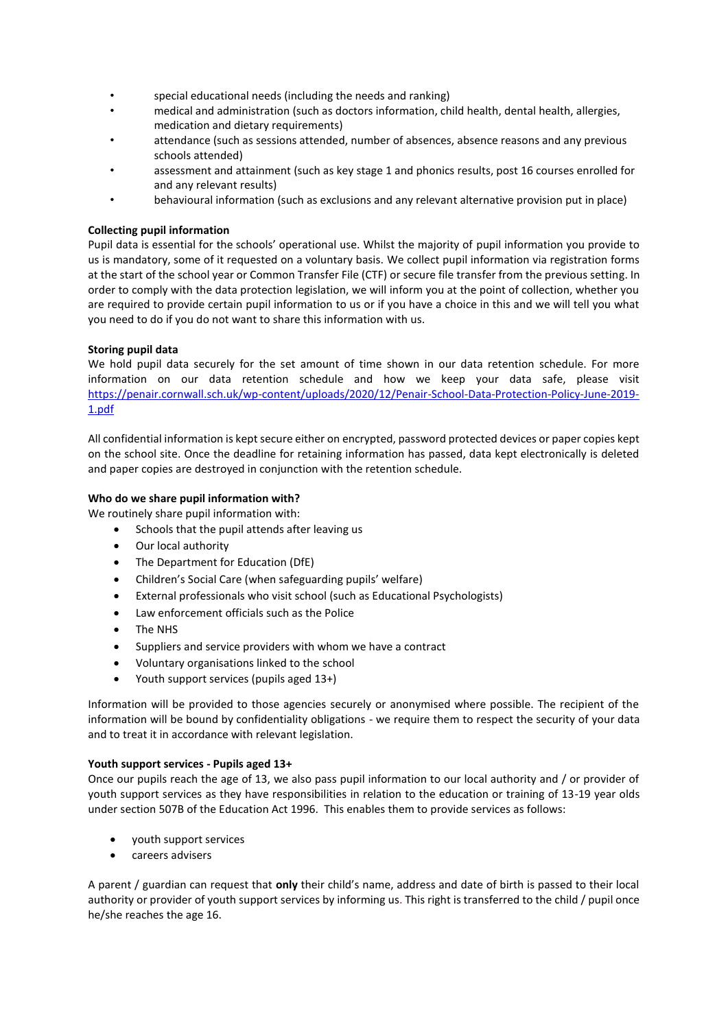- special educational needs (including the needs and ranking)
- medical and administration (such as doctors information, child health, dental health, allergies, medication and dietary requirements)
- attendance (such as sessions attended, number of absences, absence reasons and any previous schools attended)
- assessment and attainment (such as key stage 1 and phonics results, post 16 courses enrolled for and any relevant results)
- behavioural information (such as exclusions and any relevant alternative provision put in place)

# **Collecting pupil information**

Pupil data is essential for the schools' operational use. Whilst the majority of pupil information you provide to us is mandatory, some of it requested on a voluntary basis. We collect pupil information via registration forms at the start of the school year or Common Transfer File (CTF) or secure file transfer from the previous setting. In order to comply with the data protection legislation, we will inform you at the point of collection, whether you are required to provide certain pupil information to us or if you have a choice in this and we will tell you what you need to do if you do not want to share this information with us.

# **Storing pupil data**

We hold pupil data securely for the set amount of time shown in our data retention schedule. For more information on our data retention schedule and how we keep your data safe, please visit [https://penair.cornwall.sch.uk/wp-content/uploads/2020/12/Penair-School-Data-Protection-Policy-June-2019-](https://penair.cornwall.sch.uk/wp-content/uploads/2020/12/Penair-School-Data-Protection-Policy-June-2019-1.pdf) [1.pdf](https://penair.cornwall.sch.uk/wp-content/uploads/2020/12/Penair-School-Data-Protection-Policy-June-2019-1.pdf)

All confidential information is kept secure either on encrypted, password protected devices or paper copies kept on the school site. Once the deadline for retaining information has passed, data kept electronically is deleted and paper copies are destroyed in conjunction with the retention schedule.

# **Who do we share pupil information with?**

We routinely share pupil information with:

- Schools that the pupil attends after leaving us
- Our local authority
- The Department for Education (DfE)
- Children's Social Care (when safeguarding pupils' welfare)
- External professionals who visit school (such as Educational Psychologists)
- Law enforcement officials such as the Police
- The NHS
- Suppliers and service providers with whom we have a contract
- Voluntary organisations linked to the school
- Youth support services (pupils aged 13+)

Information will be provided to those agencies securely or anonymised where possible. The recipient of the information will be bound by confidentiality obligations - we require them to respect the security of your data and to treat it in accordance with relevant legislation.

# **Youth support services - Pupils aged 13+**

Once our pupils reach the age of 13, we also pass pupil information to our local authority and / or provider of youth support services as they have responsibilities in relation to the education or training of 13-19 year olds under section 507B of the Education Act 1996. This enables them to provide services as follows:

- youth support services
- careers advisers

A parent / guardian can request that **only** their child's name, address and date of birth is passed to their local authority or provider of youth support services by informing us. This right is transferred to the child / pupil once he/she reaches the age 16.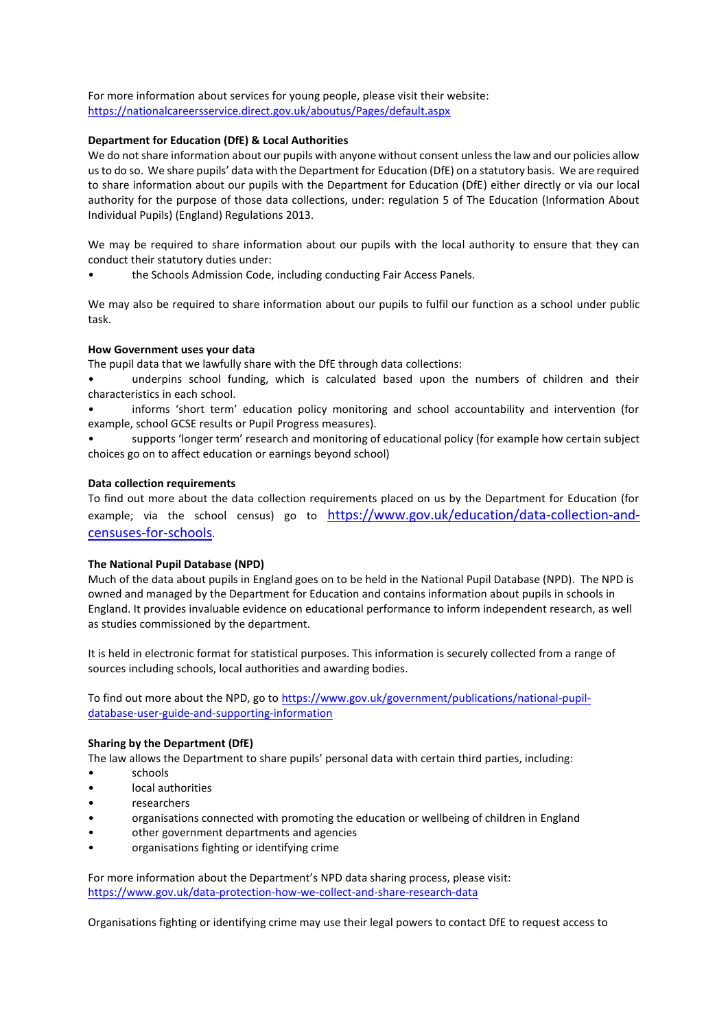For more information about services for young people, please visit their website: <https://nationalcareersservice.direct.gov.uk/aboutus/Pages/default.aspx>

# **Department for Education (DfE) & Local Authorities**

We do not share information about our pupils with anyone without consent unless the law and our policies allow us to do so. We share pupils' data with the Department for Education (DfE) on a statutory basis. We are required to share information about our pupils with the Department for Education (DfE) either directly or via our local authority for the purpose of those data collections, under: regulation 5 of The Education (Information About Individual Pupils) (England) Regulations 2013.

We may be required to share information about our pupils with the local authority to ensure that they can conduct their statutory duties under:

• the Schools Admission Code, including conducting Fair Access Panels.

We may also be required to share information about our pupils to fulfil our function as a school under public task.

# **How Government uses your data**

The pupil data that we lawfully share with the DfE through data collections:

- underpins school funding, which is calculated based upon the numbers of children and their characteristics in each school.
- informs 'short term' education policy monitoring and school accountability and intervention (for example, school GCSE results or Pupil Progress measures).
- supports 'longer term' research and monitoring of educational policy (for example how certain subject choices go on to affect education or earnings beyond school)

# **Data collection requirements**

To find out more about the data collection requirements placed on us by the Department for Education (for example; via the school census) go to [https://www.gov.uk/education/data-collection-and](https://www.gov.uk/education/data-collection-and-censuses-for-schools)[censuses-for-schools](https://www.gov.uk/education/data-collection-and-censuses-for-schools).

# **The National Pupil Database (NPD)**

Much of the data about pupils in England goes on to be held in the National Pupil Database (NPD). The NPD is owned and managed by the Department for Education and contains information about pupils in schools in England. It provides invaluable evidence on educational performance to inform independent research, as well as studies commissioned by the department.

It is held in electronic format for statistical purposes. This information is securely collected from a range of sources including schools, local authorities and awarding bodies.

To find out more about the NPD, go to [https://www.gov.uk/government/publications/national-pupil](https://www.gov.uk/government/publications/national-pupil-database-user-guide-and-supporting-information)[database-user-guide-and-supporting-information](https://www.gov.uk/government/publications/national-pupil-database-user-guide-and-supporting-information)

# **Sharing by the Department (DfE)**

The law allows the Department to share pupils' personal data with certain third parties, including:

- schools
- local authorities
- researchers
- organisations connected with promoting the education or wellbeing of children in England
- other government departments and agencies
- organisations fighting or identifying crime

For more information about the Department's NPD data sharing process, please visit: <https://www.gov.uk/data-protection-how-we-collect-and-share-research-data>

Organisations fighting or identifying crime may use their legal powers to contact DfE to request access to